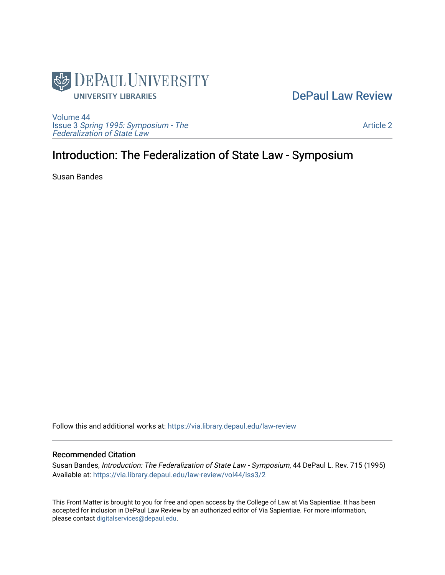

### [DePaul Law Review](https://via.library.depaul.edu/law-review)

[Volume 44](https://via.library.depaul.edu/law-review/vol44) Issue 3 [Spring 1995: Symposium - The](https://via.library.depaul.edu/law-review/vol44/iss3)  [Federalization of State Law](https://via.library.depaul.edu/law-review/vol44/iss3) 

[Article 2](https://via.library.depaul.edu/law-review/vol44/iss3/2) 

# Introduction: The Federalization of State Law - Symposium

Susan Bandes

Follow this and additional works at: [https://via.library.depaul.edu/law-review](https://via.library.depaul.edu/law-review?utm_source=via.library.depaul.edu%2Flaw-review%2Fvol44%2Fiss3%2F2&utm_medium=PDF&utm_campaign=PDFCoverPages) 

#### Recommended Citation

Susan Bandes, Introduction: The Federalization of State Law - Symposium, 44 DePaul L. Rev. 715 (1995) Available at: [https://via.library.depaul.edu/law-review/vol44/iss3/2](https://via.library.depaul.edu/law-review/vol44/iss3/2?utm_source=via.library.depaul.edu%2Flaw-review%2Fvol44%2Fiss3%2F2&utm_medium=PDF&utm_campaign=PDFCoverPages) 

This Front Matter is brought to you for free and open access by the College of Law at Via Sapientiae. It has been accepted for inclusion in DePaul Law Review by an authorized editor of Via Sapientiae. For more information, please contact [digitalservices@depaul.edu.](mailto:digitalservices@depaul.edu)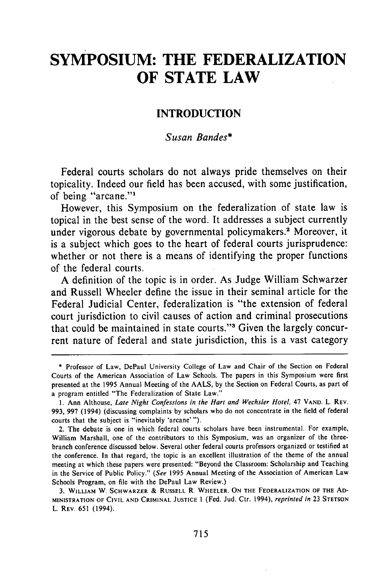## **SYMPOSIUM: THE FEDERALIZATION OF STATE LAW**

### **INTRODUCTION**

### *Susan Bandes\**

Federal courts scholars do not always pride themselves on their topicality. Indeed our field has been accused, with some justification, of being "arcane."<sup>1</sup>

However, this Symposium on the federalization of state law is topical in the best sense of the word. It addresses a subject currently under vigorous debate by governmental policymakers.<sup>2</sup> Moreover, it is a subject which goes to the heart of federal courts jurisprudence: whether or not there is a means of identifying the proper functions of the federal courts.

**A** definition of the topic is in order. As Judge William Schwarzer and Russell Wheeler define the issue in their seminal article for the Federal Judicial Center, federalization is "the extension of federal court jurisdiction to civil causes of action and criminal prosecutions that could be maintained in state courts."' Given the largely concurrent nature of federal and state jurisdiction, this is a vast category

**<sup>\*</sup>** Professor of Law, DePaul University College of Law and Chair of the Section on Federal Courts of the American Association of Law Schools. The papers in this Symposium were first presented at the **1995** Annual Meeting of the **AALS, by** the Section on Federal Courts, as part of a program entitled "The Federalization of State Law."

**<sup>1.</sup>** Ann Althouse, *Late Night Confessions in the Hart and Wechsler Hotel,* 47 **VAND.** L. REV. **993, 997** (1994) (discussing complaints **by** scholars who do not concentrate in the field of federal courts that the subject is "inevitably 'arcane' **").**

<sup>2.</sup> The debate is one in which federal courts scholars have been instrumental. For example, William Marshall, one of the contributors to this Symposium, was an organizer of the threebranch conference discussed below. Several other federal courts professors organized or testified at the conference. In that regard, the topic is an excellent illustration of the theme of the annual meeting at which these papers were presented: "Beyond the Classroom: Scholarship and Teaching in the Service of Public Policy." *(See* **1995** Annual Meeting of the Association of American Law Schools Program, on **file** with the DePaul Law Review.)

**<sup>3.</sup> WILLIAM** W. **SCHWARZER & RUSSELL** R. **WHEELER, ON THE FEDERALIZATION OF THE AD-MINISTRATION OF CIVIL AND CRIMINAL JUSTICE I** (Fed. Jud. Ctr. 1994), *reprinted in* **23 STETSON** L. REV. 651 (1994).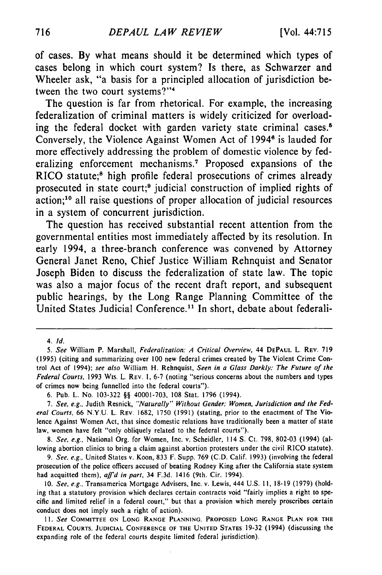of cases. **By** what means should it be determined which types of cases belong in which court system? Is there, as Schwarzer and Wheeler ask, "a basis for a principled allocation of jurisdiction between the two court systems?"<sup>4</sup>

The question is far from rhetorical. For example, the increasing federalization of criminal matters is widely criticized for overloading the federal docket with garden variety state criminal cases.<sup>6</sup> Conversely, the Violence Against Women Act of 1994<sup>6</sup> is lauded for more effectively addressing the problem of domestic violence **by** federalizing enforcement mechanisms.<sup>7</sup> Proposed expansions of the RICO statute;<sup>8</sup> high profile federal prosecutions of crimes already prosecuted in state court;<sup>9</sup> judicial construction of implied rights of action;'0 all raise questions of proper allocation of judicial resources in a system of concurrent jurisdiction.

The question has received substantial recent attention from the governmental entities most immediately affected **by** its resolution. In early 1994, a three-branch conference was convened **by** Attorney General Janet Reno, Chief Justice William Rehnquist and Senator Joseph Biden to discuss the federalization of state law. The topic was also a major focus of the recent draft report, and subsequent public hearings, **by** the Long Range Planning Committee of the United States Judicial Conference.<sup>11</sup> In short, debate about federali-

*8. See, e.g.,* National Org. for Women, Inc. v. Scheidler, 114 **S.** Ct. 798, 802-03 (1994) (allowing abortion clinics to bring a claim against abortion protesters under the civil RICO statute).

*<sup>4.</sup> Id.*

*<sup>5.</sup> See* William P. Marshall, *Federalization: A Critical Overview,* 44 **DEPAUL** L. REV. 719 (1995) (citing and summarizing over 100 new federal crimes created **by** The Violent Crime Control Act of 1994); *see also* William H. Rehnquist, *Seen in a Glass Darkly: The Future of the Federal Courts,* 1993 Wis. L. REV. 1, **6-7** (noting "serious concerns about the numbers and types of crimes now being funnelled into the federal courts").

<sup>6.</sup> Pub. L. No. 103-322 §§ 40001-703, 108 Stat. 1796 (1994).

*<sup>7.</sup> See, e.g.,* Judith Resnick, *"Naturally" Without Gender: Women, Jurisdiction and the Federal Courts,* 66 N.Y.U. L REV. 1682, 1750 (1991) (stating, prior to the enactment of The Violence Against Women Act, that since domestic relations have traditionally been a matter of state law, women have felt "only obliquely related to the federal courts").

<sup>9.</sup> *See, e.g.,* United States v. Koon, 833 F. Supp. 769 (C.D. Calif. 1993) (involving the federal prosecution of the police officers accused of beating Rodney King after the California state system had acquitted them), *affid in part,* 34 F.3d. 1416 (9th. Cir. 1994).

<sup>10.</sup> *See, e.g.,* Transamerica Mortgage Advisers, Inc. v. Lewis, 444 U.S. **11,** 18-19 (1979) (holding that a statutory provision which declares certain contracts void "fairly implies a right to specific and limited relief in a federal court," but that a provision which merely proscribes certain conduct does not imply such a right of action).

**<sup>11.</sup>** *See* **COMMITTEE ON LONG RANGE PLANNING, PROPOSED LONG RANGE PLAN FOR THE** FEDERAL **COURTS. JUDICIAL CONFERENCE OF** THE **UNITED STATES** 19-32 (1994) (discussing the expanding role of the federal courts despite limited federal jurisdiction).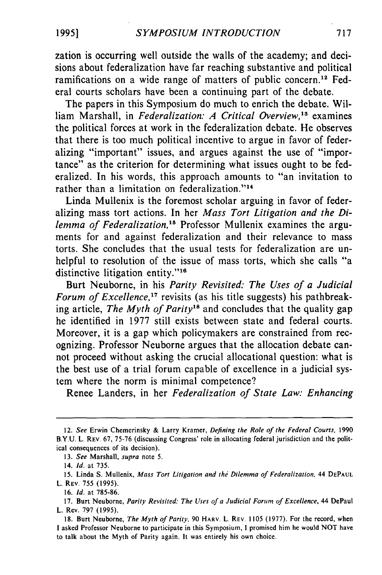zation is occurring well outside the walls of the academy; and decisions about federalization have far reaching substantive and political ramifications on a wide range of matters of public concern.<sup>12</sup> Federal courts scholars have been a continuing part of the debate.

The papers in this Symposium do much to enrich the debate. William Marshall, in *Federalization: A Critical Overview*,<sup>13</sup> examines the political forces at work in the federalization debate. He observes that there is too much political incentive to argue in favor of federalizing "important" issues, and argues against the use of "importance" as the criterion for determining what issues ought to be federalized. In his words, this approach amounts to "an invitation to rather than a limitation on federalization."<sup>14</sup>

Linda Mullenix is the foremost scholar arguing in favor of federalizing mass tort actions. In her *Mass Tort Litigation and the Dilemma of Federalization*,<sup>15</sup> Professor Mullenix examines the arguments for and against federalization and their relevance to mass torts. She concludes that the usual tests for federalization are unhelpful to resolution of the issue of mass torts, which she calls "a distinctive litigation entity."<sup>16</sup>

Burt Neuborne, in his *Parity Revisited: The Uses of a Judicial Forum of Excellence*,<sup>17</sup> *revisits* (as his title suggests) his pathbreaking article, *The Myth of Parity18* and concludes that the quality gap he identified in 1977 still exists between state and federal courts. Moreover, it is a gap which policymakers are constrained from recognizing. Professor Neuborne argues that the allocation debate cannot proceed without asking the crucial allocational question: what is the best use of a trial forum capable of excellence in a judicial system where the norm is minimal competence?

Renee Landers, in her *Federalization of State Law: Enhancing*

<sup>12.</sup> See Erwin Chemerinsky & Larry Kramer, *Defining the Role of the Federal Courts,* 1990 B.Y.U. L REV. 67, 75-76 (discussing Congress' role in allocating federal jurisdiction and the political consequences of its decision).

<sup>13.</sup> *See* Marshall, *supra* note 5.

<sup>14.</sup> *Id.* at 735.

<sup>15.</sup> Linda S. Mullenix, *Mass Tort Litigation and the Dilemma of* Federalization, 44 DEPAUL L. REV. 755 (1995).

<sup>16.</sup> **Id.** at 785-86.

<sup>17.</sup> Burt Neuborne, *Parity Revisited: The Uses of a Judicial Forum of Excellence,* 44 DePaul L. Rev. 797 (1995).

<sup>18.</sup> Burt Neuborne, The Myth of Parity, 90 HARV. L. REV. 1105 (1977). For the record, when I asked Professor Neuborne to participate in this Symposium, I promised him he would NOT have to talk about the Myth of Parity again. It was entirely his own choice.